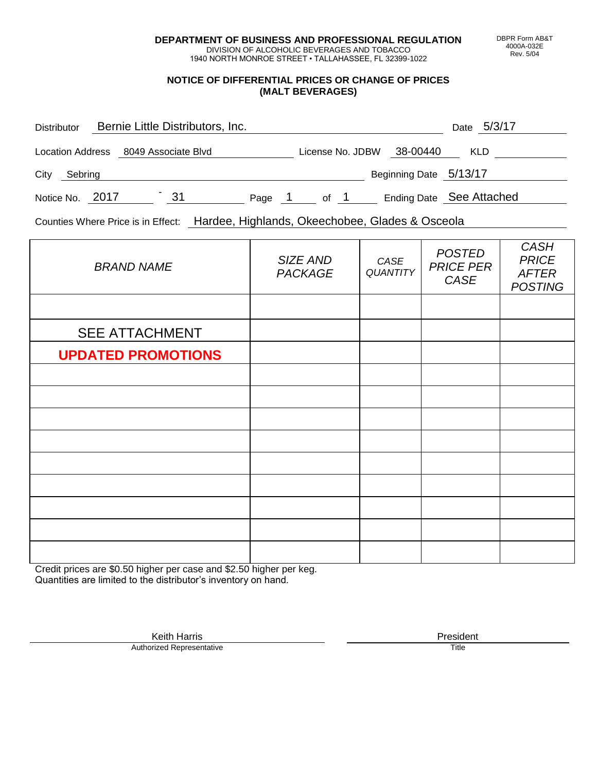**DEPARTMENT OF BUSINESS AND PROFESSIONAL REGULATION** DIVISION OF ALCOHOLIC BEVERAGES AND TOBACCO

1940 NORTH MONROE STREET • TALLAHASSEE, FL 32399-1022

#### **NOTICE OF DIFFERENTIAL PRICES OR CHANGE OF PRICES (MALT BEVERAGES)**

| <b>Distributor</b>      | Bernie Little Distributors, Inc. |    |        |                  |                        | Date 5/3/17              |
|-------------------------|----------------------------------|----|--------|------------------|------------------------|--------------------------|
| <b>Location Address</b> | 8049 Associate Blvd              |    |        | License No. JDBW | 38-00440               | KLD.                     |
| City<br>Sebring         |                                  |    |        |                  | Beginning Date 5/13/17 |                          |
| Notice No. 2017         |                                  | 31 | Page 1 | of 1             |                        | Ending Date See Attached |

Counties Where Price is in Effect: Hardee, Highlands, Okeechobee, Glades & Osceola

| <b>BRAND NAME</b>         | SIZE AND<br><b>PACKAGE</b> | CASE<br><b>QUANTITY</b> | <b>POSTED</b><br><b>PRICE PER</b><br>CASE | <b>CASH</b><br><b>PRICE</b><br><b>AFTER</b><br><b>POSTING</b> |
|---------------------------|----------------------------|-------------------------|-------------------------------------------|---------------------------------------------------------------|
|                           |                            |                         |                                           |                                                               |
| <b>SEE ATTACHMENT</b>     |                            |                         |                                           |                                                               |
| <b>UPDATED PROMOTIONS</b> |                            |                         |                                           |                                                               |
|                           |                            |                         |                                           |                                                               |
|                           |                            |                         |                                           |                                                               |
|                           |                            |                         |                                           |                                                               |
|                           |                            |                         |                                           |                                                               |
|                           |                            |                         |                                           |                                                               |
|                           |                            |                         |                                           |                                                               |
|                           |                            |                         |                                           |                                                               |
|                           |                            |                         |                                           |                                                               |
|                           |                            |                         |                                           |                                                               |

Credit prices are \$0.50 higher per case and \$2.50 higher per keg. Quantities are limited to the distributor's inventory on hand.

> Keith Harris **President**<br> **President**<br>
> Prized Representative **President** Authorized Representative

DBPR Form AB&T 4000A-032E Rev. 5/04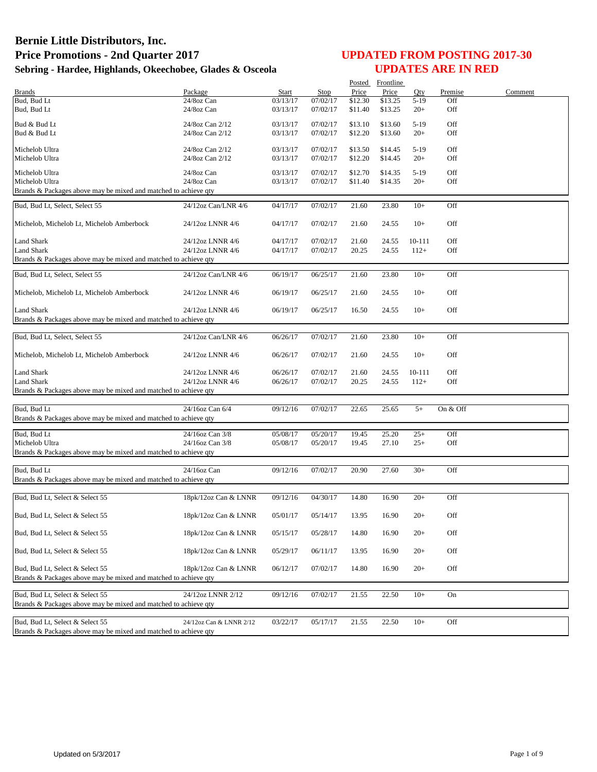|                                                                 |                         |                      |          | Posted  | Frontline      |        |          |         |
|-----------------------------------------------------------------|-------------------------|----------------------|----------|---------|----------------|--------|----------|---------|
| <b>Brands</b>                                                   | Package                 | Start                | Stop     | Price   | Price          | Qty    | Premise  | Comment |
| Bud, Bud Lt                                                     | 24/8oz Can              | 03/13/17             | 07/02/17 | \$12.30 | \$13.25        | $5-19$ | Off      |         |
| Bud, Bud Lt                                                     | 24/8oz Can              | 03/13/17             | 07/02/17 | \$11.40 | \$13.25        | $20+$  | Off      |         |
| Bud & Bud Lt                                                    | 24/8oz Can 2/12         |                      | 07/02/17 |         | \$13.60        |        | Off      |         |
|                                                                 |                         | 03/13/17<br>03/13/17 |          | \$13.10 |                | $5-19$ | Off      |         |
| Bud & Bud Lt                                                    | 24/8oz Can 2/12         |                      | 07/02/17 | \$12.20 | \$13.60        | $20+$  |          |         |
| Michelob Ultra                                                  | 24/8oz Can 2/12         | 03/13/17             | 07/02/17 | \$13.50 | \$14.45        | $5-19$ | Off      |         |
| Michelob Ultra                                                  | 24/8oz Can 2/12         | 03/13/17             | 07/02/17 | \$12.20 | \$14.45        | $20+$  | Off      |         |
|                                                                 |                         |                      |          |         |                |        |          |         |
| Michelob Ultra                                                  | 24/8oz Can              | 03/13/17             | 07/02/17 | \$12.70 | \$14.35        | $5-19$ | Off      |         |
| Michelob Ultra                                                  | 24/8oz Can              | 03/13/17             | 07/02/17 | \$11.40 | \$14.35        | $20+$  | Off      |         |
| Brands & Packages above may be mixed and matched to achieve qty |                         |                      |          |         |                |        |          |         |
| Bud, Bud Lt, Select, Select 55                                  | 24/12oz Can/LNR 4/6     |                      | 07/02/17 |         |                | $10+$  | Off      |         |
|                                                                 |                         | 04/17/17             |          | 21.60   | 23.80          |        |          |         |
|                                                                 | 24/12oz LNNR 4/6        |                      |          |         |                | $10+$  | Off      |         |
| Michelob, Michelob Lt, Michelob Amberbock                       |                         | 04/17/17             | 07/02/17 | 21.60   | 24.55          |        |          |         |
| Land Shark                                                      | 24/12oz LNNR 4/6        | 04/17/17             | 07/02/17 | 21.60   |                | 10-111 | Off      |         |
| Land Shark                                                      | 24/12oz LNNR 4/6        | 04/17/17             | 07/02/17 | 20.25   | 24.55<br>24.55 | $112+$ | Off      |         |
|                                                                 |                         |                      |          |         |                |        |          |         |
| Brands & Packages above may be mixed and matched to achieve qty |                         |                      |          |         |                |        |          |         |
| Bud, Bud Lt, Select, Select 55                                  | 24/12oz Can/LNR 4/6     | 06/19/17             | 06/25/17 | 21.60   | 23.80          | $10+$  | Off      |         |
|                                                                 |                         |                      |          |         |                |        |          |         |
| Michelob, Michelob Lt, Michelob Amberbock                       | 24/12oz LNNR 4/6        | 06/19/17             | 06/25/17 | 21.60   | 24.55          | $10+$  | Off      |         |
|                                                                 |                         |                      |          |         |                |        |          |         |
| <b>Land Shark</b>                                               | 24/12oz LNNR 4/6        | 06/19/17             | 06/25/17 | 16.50   | 24.55          | $10+$  | Off      |         |
| Brands & Packages above may be mixed and matched to achieve qty |                         |                      |          |         |                |        |          |         |
|                                                                 |                         |                      |          |         |                |        |          |         |
| Bud, Bud Lt, Select, Select 55                                  | 24/12oz Can/LNR 4/6     | 06/26/17             | 07/02/17 | 21.60   | 23.80          | $10+$  | Off      |         |
|                                                                 |                         |                      |          |         |                |        |          |         |
| Michelob, Michelob Lt, Michelob Amberbock                       | 24/12oz LNNR 4/6        | 06/26/17             | 07/02/17 | 21.60   | 24.55          | $10+$  | Off      |         |
|                                                                 |                         |                      |          |         |                |        |          |         |
| <b>Land Shark</b>                                               | 24/12oz LNNR 4/6        | 06/26/17             | 07/02/17 | 21.60   | 24.55          | 10-111 | Off      |         |
| Land Shark                                                      | 24/12oz LNNR 4/6        | 06/26/17             | 07/02/17 | 20.25   | 24.55          | $112+$ | Off      |         |
| Brands & Packages above may be mixed and matched to achieve qty |                         |                      |          |         |                |        |          |         |
|                                                                 |                         |                      |          |         |                |        |          |         |
| Bud, Bud Lt                                                     | 24/16oz Can 6/4         | 09/12/16             | 07/02/17 | 22.65   | 25.65          | $5+$   | On & Off |         |
| Brands & Packages above may be mixed and matched to achieve qty |                         |                      |          |         |                |        |          |         |
|                                                                 |                         |                      |          |         |                |        |          |         |
| Bud, Bud Lt                                                     | 24/16oz Can 3/8         | 05/08/17             | 05/20/17 | 19.45   | 25.20          | $25+$  | Off      |         |
| Michelob Ultra                                                  | 24/16oz Can 3/8         | 05/08/17             | 05/20/17 | 19.45   | 27.10          | $25+$  | Off      |         |
| Brands & Packages above may be mixed and matched to achieve qty |                         |                      |          |         |                |        |          |         |
|                                                                 |                         |                      |          |         |                |        |          |         |
| Bud, Bud Lt                                                     | 24/16oz Can             | 09/12/16             | 07/02/17 | 20.90   | 27.60          | $30+$  | Off      |         |
| Brands & Packages above may be mixed and matched to achieve qty |                         |                      |          |         |                |        |          |         |
|                                                                 |                         |                      |          |         |                |        |          |         |
| Bud, Bud Lt, Select & Select 55                                 | 18pk/12oz Can & LNNR    | 09/12/16             | 04/30/17 | 14.80   | 16.90          | $20+$  | Off      |         |
|                                                                 |                         |                      |          |         |                |        |          |         |
| Bud, Bud Lt, Select & Select 55                                 | 18pk/12oz Can & LNNR    | 05/01/17             | 05/14/17 | 13.95   | 16.90          | $20+$  | Off      |         |
|                                                                 |                         |                      |          |         |                |        |          |         |
| Bud, Bud Lt, Select & Select 55                                 | 18pk/12oz Can & LNNR    | 05/15/17             | 05/28/17 | 14.80   | 16.90          | $20+$  | Off      |         |
|                                                                 |                         |                      |          |         |                |        |          |         |
| Bud, Bud Lt, Select & Select 55                                 | 18pk/12oz Can & LNNR    | 05/29/17             | 06/11/17 | 13.95   | 16.90          | $20+$  | Off      |         |
|                                                                 |                         |                      |          |         |                |        |          |         |
| Bud, Bud Lt, Select & Select 55                                 | 18pk/12oz Can & LNNR    | 06/12/17             | 07/02/17 | 14.80   | 16.90          | $20+$  | Off      |         |
| Brands & Packages above may be mixed and matched to achieve qty |                         |                      |          |         |                |        |          |         |
|                                                                 |                         |                      |          |         |                |        |          |         |
| Bud, Bud Lt, Select & Select 55                                 | 24/12oz LNNR 2/12       | 09/12/16             | 07/02/17 | 21.55   | 22.50          | $10+$  | On       |         |
| Brands & Packages above may be mixed and matched to achieve qty |                         |                      |          |         |                |        |          |         |
|                                                                 |                         |                      |          |         |                |        |          |         |
| Bud, Bud Lt, Select & Select 55                                 | 24/12oz Can & LNNR 2/12 | 03/22/17             | 05/17/17 | 21.55   | 22.50          | $10+$  | Off      |         |
| Brands & Packages above may be mixed and matched to achieve qty |                         |                      |          |         |                |        |          |         |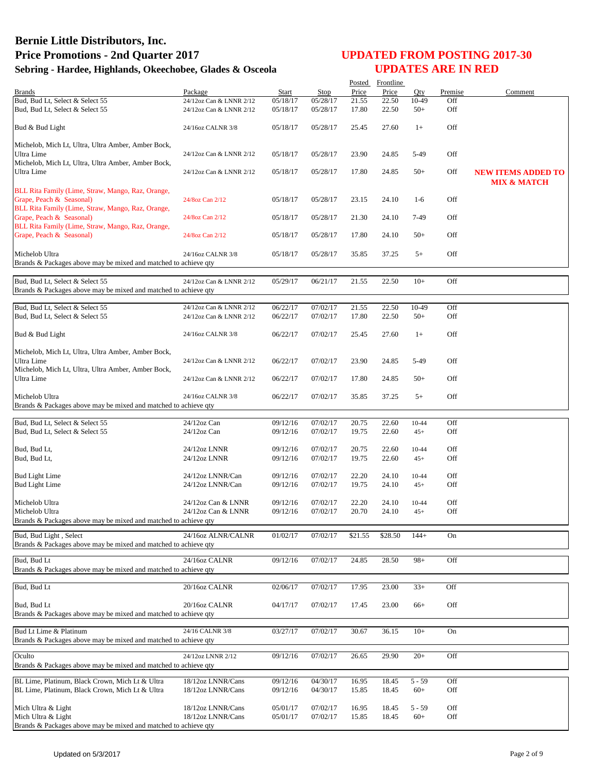|                                                                                           |                         |          |          | Posted  | Frontline |           |         |                                                     |
|-------------------------------------------------------------------------------------------|-------------------------|----------|----------|---------|-----------|-----------|---------|-----------------------------------------------------|
| <b>Brands</b>                                                                             | Package                 | Start    | Stop     | Price   | Price     | Oty       | Premise | Comment                                             |
| Bud, Bud Lt, Select & Select 55                                                           | 24/12oz Can & LNNR 2/12 | 05/18/17 | 05/28/17 | 21.55   | 22.50     | 10-49     | Off     |                                                     |
| Bud, Bud Lt, Select & Select 55                                                           | 24/12oz Can & LNNR 2/12 | 05/18/17 | 05/28/17 | 17.80   | 22.50     | $50+$     | Off     |                                                     |
| Bud & Bud Light                                                                           | 24/16oz CALNR 3/8       | 05/18/17 | 05/28/17 | 25.45   | 27.60     | $1+$      | Off     |                                                     |
|                                                                                           |                         |          |          |         |           |           |         |                                                     |
| Michelob, Mich Lt, Ultra, Ultra Amber, Amber Bock,<br>Ultra Lime                          | 24/12oz Can & LNNR 2/12 | 05/18/17 | 05/28/17 | 23.90   | 24.85     | 5-49      | Off     |                                                     |
| Michelob, Mich Lt, Ultra, Ultra Amber, Amber Bock,                                        |                         |          |          |         |           |           |         |                                                     |
| Ultra Lime                                                                                | 24/12oz Can & LNNR 2/12 | 05/18/17 | 05/28/17 | 17.80   | 24.85     | $50+$     | Off     | <b>NEW ITEMS ADDED TO</b><br><b>MIX &amp; MATCH</b> |
| BLL Rita Family (Lime, Straw, Mango, Raz, Orange,                                         |                         |          |          |         |           |           |         |                                                     |
| Grape, Peach & Seasonal)<br>BLL Rita Family (Lime, Straw, Mango, Raz, Orange,             | 24/8oz Can 2/12         | 05/18/17 | 05/28/17 | 23.15   | 24.10     | $1-6$     | Off     |                                                     |
| Grape, Peach & Seasonal)<br>BLL Rita Family (Lime, Straw, Mango, Raz, Orange,             | 24/8oz Can 2/12         | 05/18/17 | 05/28/17 | 21.30   | 24.10     | 7-49      | Off     |                                                     |
| Grape, Peach & Seasonal)                                                                  | 24/8oz Can 2/12         | 05/18/17 | 05/28/17 | 17.80   | 24.10     | $50+$     | Off     |                                                     |
| Michelob Ultra                                                                            | 24/16oz CALNR 3/8       | 05/18/17 | 05/28/17 | 35.85   | 37.25     | $5+$      | Off     |                                                     |
| Brands & Packages above may be mixed and matched to achieve qty                           |                         |          |          |         |           |           |         |                                                     |
| Bud, Bud Lt, Select & Select 55                                                           | 24/12oz Can & LNNR 2/12 | 05/29/17 | 06/21/17 | 21.55   | 22.50     | $10+$     | Off     |                                                     |
| Brands & Packages above may be mixed and matched to achieve qty                           |                         |          |          |         |           |           |         |                                                     |
|                                                                                           |                         |          |          |         |           |           |         |                                                     |
| Bud, Bud Lt, Select & Select 55                                                           | 24/12oz Can & LNNR 2/12 | 06/22/17 | 07/02/17 | 21.55   | 22.50     | 10-49     | Off     |                                                     |
| Bud, Bud Lt, Select & Select 55                                                           | 24/12oz Can & LNNR 2/12 | 06/22/17 | 07/02/17 | 17.80   | 22.50     | $50+$     | Off     |                                                     |
| Bud & Bud Light                                                                           | 24/16oz CALNR 3/8       | 06/22/17 | 07/02/17 | 25.45   | 27.60     | $1+$      | Off     |                                                     |
| Michelob, Mich Lt, Ultra, Ultra Amber, Amber Bock,                                        |                         |          |          |         |           |           |         |                                                     |
| Ultra Lime                                                                                | 24/12oz Can & LNNR 2/12 | 06/22/17 | 07/02/17 | 23.90   | 24.85     | 5-49      | Off     |                                                     |
| Michelob, Mich Lt, Ultra, Ultra Amber, Amber Bock,                                        |                         |          |          |         |           |           |         |                                                     |
| Ultra Lime                                                                                | 24/12oz Can & LNNR 2/12 | 06/22/17 | 07/02/17 | 17.80   | 24.85     | $50+$     | Off     |                                                     |
| Michelob Ultra                                                                            | 24/16oz CALNR 3/8       | 06/22/17 | 07/02/17 | 35.85   | 37.25     | $5+$      | Off     |                                                     |
| Brands & Packages above may be mixed and matched to achieve qty                           |                         |          |          |         |           |           |         |                                                     |
|                                                                                           |                         |          |          |         |           |           |         |                                                     |
| Bud, Bud Lt, Select & Select 55                                                           | 24/12oz Can             | 09/12/16 | 07/02/17 | 20.75   | 22.60     | $10 - 44$ | Off     |                                                     |
| Bud, Bud Lt, Select & Select 55                                                           | $24/12$ oz Can          | 09/12/16 | 07/02/17 | 19.75   | 22.60     | $45+$     | Off     |                                                     |
|                                                                                           |                         |          |          |         |           |           |         |                                                     |
| Bud, Bud Lt,                                                                              | 24/12oz LNNR            | 09/12/16 | 07/02/17 | 20.75   | 22.60     | $10 - 44$ | Off     |                                                     |
| Bud, Bud Lt,                                                                              | 24/12oz LNNR            | 09/12/16 | 07/02/17 | 19.75   | 22.60     | $45+$     | Off     |                                                     |
| <b>Bud Light Lime</b>                                                                     | 24/12oz LNNR/Can        | 09/12/16 | 07/02/17 | 22.20   | 24.10     | $10 - 44$ | Off     |                                                     |
| <b>Bud Light Lime</b>                                                                     | 24/12oz LNNR/Can        | 09/12/16 | 07/02/17 | 19.75   | 24.10     | $45+$     | Off     |                                                     |
|                                                                                           |                         |          |          |         |           |           |         |                                                     |
| Michelob Ultra                                                                            | 24/12oz Can & LNNR      | 09/12/16 | 07/02/17 | 22.20   | 24.10     | 10-44     | Off     |                                                     |
| Michelob Ultra                                                                            | 24/12oz Can & LNNR      | 09/12/16 | 07/02/17 | 20.70   | 24.10     | $45+$     | Off     |                                                     |
| Brands & Packages above may be mixed and matched to achieve qty                           |                         |          |          |         |           |           |         |                                                     |
| Bud, Bud Light, Select                                                                    | 24/16oz ALNR/CALNR      | 01/02/17 | 07/02/17 | \$21.55 | \$28.50   | $144+$    | On      |                                                     |
| Brands & Packages above may be mixed and matched to achieve qty                           |                         |          |          |         |           |           |         |                                                     |
| Bud, Bud Lt                                                                               | 24/16oz CALNR           | 09/12/16 | 07/02/17 | 24.85   | 28.50     | $98+$     | Off     |                                                     |
| Brands & Packages above may be mixed and matched to achieve qty                           |                         |          |          |         |           |           |         |                                                     |
| Bud, Bud Lt                                                                               | 20/16oz CALNR           | 02/06/17 | 07/02/17 | 17.95   | 23.00     | $33+$     | Off     |                                                     |
|                                                                                           |                         |          |          |         |           |           |         |                                                     |
| Bud, Bud Lt<br>Brands & Packages above may be mixed and matched to achieve gty            | 20/16oz CALNR           | 04/17/17 | 07/02/17 | 17.45   | 23.00     | $66+$     | Off     |                                                     |
|                                                                                           |                         |          |          |         |           |           |         |                                                     |
| Bud Lt Lime & Platinum<br>Brands & Packages above may be mixed and matched to achieve qty | 24/16 CALNR 3/8         | 03/27/17 | 07/02/17 | 30.67   | 36.15     | $10+$     | On      |                                                     |
|                                                                                           |                         |          |          |         |           |           |         |                                                     |
| Oculto<br>Brands & Packages above may be mixed and matched to achieve qty                 | 24/12oz LNNR 2/12       | 09/12/16 | 07/02/17 | 26.65   | 29.90     | $20+$     | Off     |                                                     |
|                                                                                           |                         |          |          |         |           |           |         |                                                     |
| BL Lime, Platinum, Black Crown, Mich Lt & Ultra                                           | 18/12oz LNNR/Cans       | 09/12/16 | 04/30/17 | 16.95   | 18.45     | $5 - 59$  | Off     |                                                     |
| BL Lime, Platinum, Black Crown, Mich Lt & Ultra                                           | 18/12oz LNNR/Cans       | 09/12/16 | 04/30/17 | 15.85   | 18.45     | $60+$     | Off     |                                                     |
| Mich Ultra & Light                                                                        | 18/12oz LNNR/Cans       | 05/01/17 | 07/02/17 | 16.95   | 18.45     | $5 - 59$  | Off     |                                                     |
| Mich Ultra & Light                                                                        | 18/12oz LNNR/Cans       | 05/01/17 | 07/02/17 | 15.85   | 18.45     | $60+$     | Off     |                                                     |
| Brands & Packages above may be mixed and matched to achieve qty                           |                         |          |          |         |           |           |         |                                                     |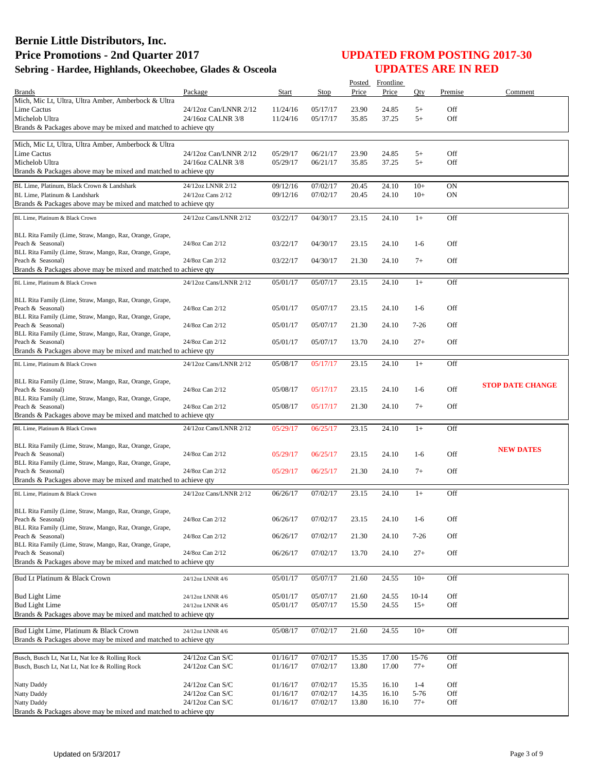| <b>Brands</b>                                                                                             | Package                            | Start                | Stop                 | Posted<br>Price | Frontline<br>Price | Oty             | Premise    | Comment                 |
|-----------------------------------------------------------------------------------------------------------|------------------------------------|----------------------|----------------------|-----------------|--------------------|-----------------|------------|-------------------------|
| Mich, Mic Lt, Ultra, Ultra Amber, Amberbock & Ultra                                                       |                                    |                      |                      |                 |                    |                 |            |                         |
| Lime Cactus                                                                                               | 24/12oz Can/LNNR 2/12              | 11/24/16             | 05/17/17             | 23.90           | 24.85              | $5+$            | Off        |                         |
| Michelob Ultra                                                                                            | 24/16oz CALNR 3/8                  | 11/24/16             | 05/17/17             | 35.85           | 37.25              | $5+$            | Off        |                         |
| Brands & Packages above may be mixed and matched to achieve qty                                           |                                    |                      |                      |                 |                    |                 |            |                         |
| Mich, Mic Lt, Ultra, Ultra Amber, Amberbock & Ultra                                                       |                                    |                      |                      |                 |                    |                 |            |                         |
| Lime Cactus                                                                                               | 24/12oz Can/LNNR 2/12              | 05/29/17             | 06/21/17             | 23.90           | 24.85              | $5+$            | Off        |                         |
| Michelob Ultra                                                                                            | 24/16oz CALNR 3/8                  | 05/29/17             | 06/21/17             | 35.85           | 37.25              | $5+$            | Off        |                         |
| Brands & Packages above may be mixed and matched to achieve qty                                           |                                    |                      |                      |                 |                    |                 |            |                         |
| BL Lime, Platinum, Black Crown & Landshark                                                                | 24/12oz LNNR 2/12                  | 09/12/16             | 07/02/17             | 20.45           | 24.10              | $10+$           | <b>ON</b>  |                         |
| BL Lime, Platinum & Landshark                                                                             | 24/12oz Cans 2/12                  | 09/12/16             | 07/02/17             | 20.45           | 24.10              | $10+$           | 0N         |                         |
| Brands & Packages above may be mixed and matched to achieve qty                                           |                                    |                      |                      |                 |                    |                 |            |                         |
| BL Lime, Platinum & Black Crown                                                                           | 24/12oz Cans/LNNR 2/12             | 03/22/17             | 04/30/17             | 23.15           | 24.10              | $1+$            | Off        |                         |
|                                                                                                           |                                    |                      |                      |                 |                    |                 |            |                         |
| BLL Rita Family (Lime, Straw, Mango, Raz, Orange, Grape,<br>Peach & Seasonal)                             | 24/8oz Can 2/12                    | 03/22/17             | 04/30/17             | 23.15           | 24.10              | $1-6$           | Off        |                         |
| BLL Rita Family (Lime, Straw, Mango, Raz, Orange, Grape,                                                  |                                    |                      |                      |                 |                    |                 |            |                         |
| Peach & Seasonal)                                                                                         | 24/8oz Can 2/12                    | 03/22/17             | 04/30/17             | 21.30           | 24.10              | $7+$            | Off        |                         |
| Brands & Packages above may be mixed and matched to achieve qty                                           |                                    |                      |                      |                 |                    |                 |            |                         |
| BL Lime, Platinum & Black Crown                                                                           | 24/12oz Cans/LNNR 2/12             | 05/01/17             | 05/07/17             | 23.15           | 24.10              | $1+$            | Off        |                         |
|                                                                                                           |                                    |                      |                      |                 |                    |                 |            |                         |
| BLL Rita Family (Lime, Straw, Mango, Raz, Orange, Grape,                                                  |                                    |                      |                      |                 |                    |                 |            |                         |
| Peach & Seasonal)<br>BLL Rita Family (Lime, Straw, Mango, Raz, Orange, Grape,                             | 24/8oz Can 2/12                    | 05/01/17             | 05/07/17             | 23.15           | 24.10              | $1-6$           | Off        |                         |
| Peach & Seasonal)                                                                                         | 24/8oz Can 2/12                    | 05/01/17             | 05/07/17             | 21.30           | 24.10              | $7-26$          | Off        |                         |
| BLL Rita Family (Lime, Straw, Mango, Raz, Orange, Grape,                                                  |                                    |                      |                      |                 |                    |                 |            |                         |
| Peach & Seasonal)                                                                                         | 24/8oz Can 2/12                    | 05/01/17             | 05/07/17             | 13.70           | 24.10              | $27+$           | Off        |                         |
| Brands & Packages above may be mixed and matched to achieve qty                                           |                                    |                      |                      |                 |                    |                 |            |                         |
| BL Lime, Platinum & Black Crown                                                                           | 24/12oz Cans/LNNR 2/12             | 05/08/17             | 05/17/17             | 23.15           | 24.10              | $1+$            | Off        |                         |
| BLL Rita Family (Lime, Straw, Mango, Raz, Orange, Grape,                                                  |                                    |                      |                      |                 |                    |                 |            |                         |
| Peach & Seasonal)                                                                                         | 24/8oz Can 2/12                    | 05/08/17             | 05/17/17             | 23.15           | 24.10              | $1-6$           | Off        | <b>STOP DATE CHANGE</b> |
| BLL Rita Family (Lime, Straw, Mango, Raz, Orange, Grape,                                                  |                                    |                      |                      |                 |                    |                 |            |                         |
| Peach & Seasonal)                                                                                         | 24/8oz Can 2/12                    | 05/08/17             | 05/17/17             | 21.30           | 24.10              | $7+$            | Off        |                         |
| Brands & Packages above may be mixed and matched to achieve qty                                           |                                    |                      |                      |                 |                    |                 |            |                         |
| BL Lime, Platinum & Black Crown                                                                           | 24/12oz Cans/LNNR 2/12             | 05/29/17             | 06/25/17             | 23.15           | 24.10              | $1+$            | Off        |                         |
| BLL Rita Family (Lime, Straw, Mango, Raz, Orange, Grape,                                                  |                                    |                      |                      |                 |                    |                 |            |                         |
| Peach & Seasonal)                                                                                         | 24/8oz Can 2/12                    | 05/29/17             | 06/25/17             | 23.15           | 24.10              | $1-6$           | Off        | <b>NEW DATES</b>        |
| BLL Rita Family (Lime, Straw, Mango, Raz, Orange, Grape,                                                  |                                    |                      |                      |                 |                    |                 |            |                         |
| Peach & Seasonal)                                                                                         | 24/8oz Can 2/12                    | 05/29/17             | 06/25/17             | 21.30           | 24.10              | $7+$            | Off        |                         |
| Brands & Packages above may be mixed and matched to achieve qty                                           |                                    |                      |                      |                 |                    |                 |            |                         |
| BL Lime, Platinum & Black Crown                                                                           | 24/12oz Cans/LNNR 2/12             | 06/26/17             | 07/02/17             | 23.15           | 24.10              | $1+$            | Off        |                         |
|                                                                                                           |                                    |                      |                      |                 |                    |                 |            |                         |
| BLL Rita Family (Lime, Straw, Mango, Raz, Orange, Grape,<br>Peach & Seasonal)                             | 24/8oz Can 2/12                    | 06/26/17             | 07/02/17             | 23.15           | 24.10              | $1-6$           | Off        |                         |
| BLL Rita Family (Lime, Straw, Mango, Raz, Orange, Grape,                                                  |                                    |                      |                      |                 |                    |                 |            |                         |
| Peach & Seasonal)                                                                                         | 24/8oz Can 2/12                    | 06/26/17             | 07/02/17             | 21.30           | 24.10              | $7 - 26$        | Off        |                         |
| BLL Rita Family (Lime, Straw, Mango, Raz, Orange, Grape,<br>Peach & Seasonal)                             | 24/8oz Can 2/12                    | 06/26/17             | 07/02/17             | 13.70           | 24.10              | $27+$           | Off        |                         |
| Brands & Packages above may be mixed and matched to achieve qty                                           |                                    |                      |                      |                 |                    |                 |            |                         |
|                                                                                                           |                                    |                      |                      |                 |                    |                 |            |                         |
| Bud Lt Platinum & Black Crown                                                                             | 24/12oz LNNR 4/6                   | 05/01/17             | 05/07/17             | 21.60           | 24.55              | $10+$           | Off        |                         |
| <b>Bud Light Lime</b>                                                                                     | 24/12oz LNNR 4/6                   | 05/01/17             | 05/07/17             | 21.60           | 24.55              | $10 - 14$       | Off        |                         |
| <b>Bud Light Lime</b>                                                                                     | 24/12oz LNNR 4/6                   | 05/01/17             | 05/07/17             | 15.50           | 24.55              | $15+$           | Off        |                         |
| Brands & Packages above may be mixed and matched to achieve qty                                           |                                    |                      |                      |                 |                    |                 |            |                         |
|                                                                                                           |                                    |                      |                      |                 |                    |                 |            |                         |
| Bud Light Lime, Platinum & Black Crown<br>Brands & Packages above may be mixed and matched to achieve qty | 24/12oz LNNR 4/6                   | 05/08/17             | 07/02/17             | 21.60           | 24.55              | $10+$           | Off        |                         |
|                                                                                                           |                                    |                      |                      |                 |                    |                 |            |                         |
| Busch, Busch Lt, Nat Lt, Nat Ice & Rolling Rock                                                           | 24/12oz Can S/C                    | 01/16/17             | 07/02/17             | 15.35           | 17.00              | 15-76           | Off        |                         |
| Busch, Busch Lt, Nat Lt, Nat Ice & Rolling Rock                                                           | 24/12oz Can S/C                    | 01/16/17             | 07/02/17             | 13.80           | 17.00              | $77+$           | Off        |                         |
|                                                                                                           |                                    |                      |                      |                 |                    |                 |            |                         |
| Natty Daddy<br><b>Natty Daddy</b>                                                                         | 24/12oz Can S/C<br>24/12oz Can S/C | 01/16/17<br>01/16/17 | 07/02/17<br>07/02/17 | 15.35<br>14.35  | 16.10<br>16.10     | $1 - 4$<br>5-76 | Off<br>Off |                         |
| Natty Daddy                                                                                               | 24/12oz Can S/C                    | 01/16/17             | 07/02/17             | 13.80           | 16.10              | $77+$           | Off        |                         |
| Brands & Packages above may be mixed and matched to achieve qty                                           |                                    |                      |                      |                 |                    |                 |            |                         |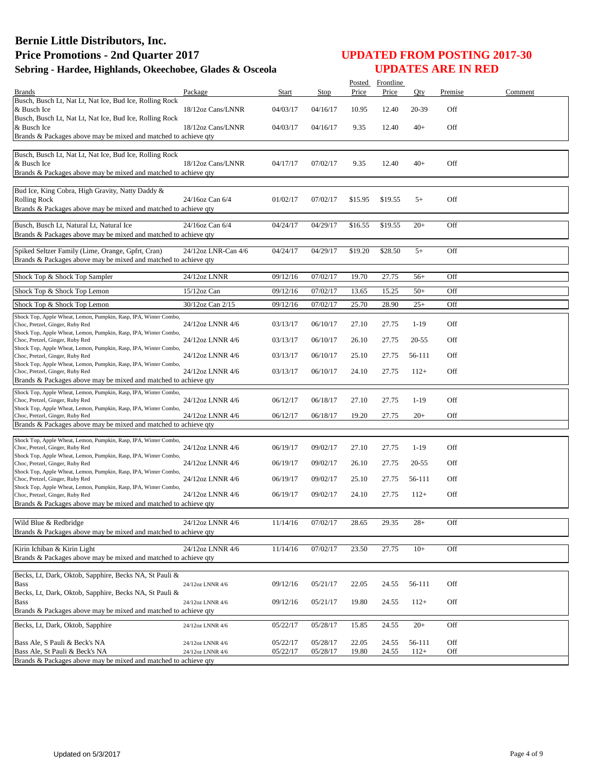|                                                                                                                                                                         |                                      |                      |                      |                | Posted Frontline |                  |            |         |
|-------------------------------------------------------------------------------------------------------------------------------------------------------------------------|--------------------------------------|----------------------|----------------------|----------------|------------------|------------------|------------|---------|
| Brands                                                                                                                                                                  | Package                              | Start                | Stop                 | Price          | Price            | Oty              | Premise    | Comment |
| Busch, Busch Lt, Nat Lt, Nat Ice, Bud Ice, Rolling Rock<br>& Busch Ice                                                                                                  | 18/12oz Cans/LNNR                    | 04/03/17             | 04/16/17             | 10.95          | 12.40            | 20-39            | Off        |         |
| Busch, Busch Lt, Nat Lt, Nat Ice, Bud Ice, Rolling Rock<br>& Busch Ice<br>Brands & Packages above may be mixed and matched to achieve qty                               | 18/12oz Cans/LNNR                    | 04/03/17             | 04/16/17             | 9.35           | 12.40            | $40+$            | Off        |         |
|                                                                                                                                                                         |                                      |                      |                      |                |                  |                  |            |         |
| Busch, Busch Lt, Nat Lt, Nat Ice, Bud Ice, Rolling Rock<br>& Busch Ice<br>Brands & Packages above may be mixed and matched to achieve qty                               | 18/12oz Cans/LNNR                    | 04/17/17             | 07/02/17             | 9.35           | 12.40            | $40+$            | Off        |         |
| Bud Ice, King Cobra, High Gravity, Natty Daddy &<br><b>Rolling Rock</b><br>Brands & Packages above may be mixed and matched to achieve qty                              | 24/16oz Can 6/4                      | 01/02/17             | 07/02/17             | \$15.95        | \$19.55          | $5+$             | Off        |         |
| Busch, Busch Lt, Natural Lt, Natural Ice<br>Brands & Packages above may be mixed and matched to achieve qty                                                             | 24/16oz Can 6/4                      | 04/24/17             | 04/29/17             | \$16.55        | \$19.55          | $20+$            | Off        |         |
| Spiked Seltzer Family (Lime, Orange, Gpfrt, Cran)<br>Brands & Packages above may be mixed and matched to achieve qty                                                    | 24/12oz LNR-Can 4/6                  | 04/24/17             | 04/29/17             | \$19.20        | \$28.50          | $5+$             | Off        |         |
| Shock Top & Shock Top Sampler                                                                                                                                           | 24/12oz LNNR                         | 09/12/16             | 07/02/17             | 19.70          | 27.75            | $56+$            | Off        |         |
| Shock Top & Shock Top Lemon                                                                                                                                             | $15/12$ oz Can                       | 09/12/16             | 07/02/17             | 13.65          | 15.25            | $50+$            | Off        |         |
| Shock Top & Shock Top Lemon                                                                                                                                             | 30/12oz Can 2/15                     | 09/12/16             | 07/02/17             | 25.70          | 28.90            | $25+$            | Off        |         |
| Shock Top, Apple Wheat, Lemon, Pumpkin, Rasp, IPA, Winter Combo,<br>Choc, Pretzel, Ginger, Ruby Red                                                                     | 24/12oz LNNR 4/6                     | 03/13/17             | 06/10/17             | 27.10          | 27.75            | $1-19$           | Off        |         |
| Shock Top, Apple Wheat, Lemon, Pumpkin, Rasp, IPA, Winter Combo,<br>Choc, Pretzel, Ginger, Ruby Red                                                                     | 24/12oz LNNR 4/6                     | 03/13/17             | 06/10/17             | 26.10          | 27.75            | $20 - 55$        | Off        |         |
| Shock Top, Apple Wheat, Lemon, Pumpkin, Rasp, IPA, Winter Combo,<br>Choc, Pretzel, Ginger, Ruby Red                                                                     | 24/12oz LNNR 4/6                     | 03/13/17             | 06/10/17             | 25.10          | 27.75            | 56-111           | Off        |         |
| Shock Top, Apple Wheat, Lemon, Pumpkin, Rasp, IPA, Winter Combo,<br>Choc, Pretzel, Ginger, Ruby Red                                                                     | 24/12oz LNNR 4/6                     | 03/13/17             | 06/10/17             | 24.10          | 27.75            | $112+$           | Off        |         |
| Brands & Packages above may be mixed and matched to achieve qty                                                                                                         |                                      |                      |                      |                |                  |                  |            |         |
| Shock Top, Apple Wheat, Lemon, Pumpkin, Rasp, IPA, Winter Combo,<br>Choc, Pretzel, Ginger, Ruby Red<br>Shock Top, Apple Wheat, Lemon, Pumpkin, Rasp, IPA, Winter Combo, | 24/12oz LNNR 4/6                     | 06/12/17             | 06/18/17             | 27.10          | 27.75            | $1-19$           | Off        |         |
| Choc, Pretzel, Ginger, Ruby Red<br>Brands & Packages above may be mixed and matched to achieve qty                                                                      | 24/12oz LNNR 4/6                     | 06/12/17             | 06/18/17             | 19.20          | 27.75            | $20+$            | Off        |         |
|                                                                                                                                                                         |                                      |                      |                      |                |                  |                  |            |         |
| Shock Top, Apple Wheat, Lemon, Pumpkin, Rasp, IPA, Winter Combo,<br>Choc, Pretzel, Ginger, Ruby Red                                                                     | 24/12oz LNNR 4/6                     | 06/19/17             | 09/02/17             | 27.10          | 27.75            | $1-19$           | Off        |         |
| Shock Top, Apple Wheat, Lemon, Pumpkin, Rasp, IPA, Winter Combo,<br>Choc, Pretzel, Ginger, Ruby Red                                                                     | 24/12oz LNNR 4/6                     | 06/19/17             | 09/02/17             | 26.10          | 27.75            | 20-55            | Off        |         |
| Shock Top, Apple Wheat, Lemon, Pumpkin, Rasp, IPA, Winter Combo,<br>Choc, Pretzel, Ginger, Ruby Red                                                                     | 24/12oz LNNR 4/6                     | 06/19/17             | 09/02/17             | 25.10          | 27.75            | 56-111           | Off        |         |
| Shock Top, Apple Wheat, Lemon, Pumpkin, Rasp, IPA, Winter Combo,<br>Choc, Pretzel, Ginger, Ruby Red<br>Brands & Packages above may be mixed and matched to achieve qty  | 24/12oz LNNR 4/6                     | 06/19/17             | 09/02/17             | 24.10          | 27.75            | $112+$           | Off        |         |
|                                                                                                                                                                         |                                      |                      |                      |                |                  |                  |            |         |
| Wild Blue & Redbridge<br>Brands & Packages above may be mixed and matched to achieve qty                                                                                | 24/12oz LNNR 4/6                     | 11/14/16             | 07/02/17             | 28.65          | 29.35            | $28+$            | Off        |         |
| Kirin Ichiban & Kirin Light                                                                                                                                             | 24/12oz LNNR 4/6                     | 11/14/16             | 07/02/17             | 23.50          | 27.75            | $10+$            | Off        |         |
| Brands & Packages above may be mixed and matched to achieve qty                                                                                                         |                                      |                      |                      |                |                  |                  |            |         |
| Becks, Lt, Dark, Oktob, Sapphire, Becks NA, St Pauli &                                                                                                                  |                                      |                      |                      |                |                  |                  |            |         |
| <b>Bass</b><br>Becks, Lt, Dark, Oktob, Sapphire, Becks NA, St Pauli &                                                                                                   | 24/12oz LNNR 4/6                     | 09/12/16             | 05/21/17             | 22.05          | 24.55            | 56-111           | Off        |         |
| <b>Bass</b><br>Brands & Packages above may be mixed and matched to achieve gty                                                                                          | 24/12oz LNNR 4/6                     | 09/12/16             | 05/21/17             | 19.80          | 24.55            | $112+$           | Off        |         |
| Becks, Lt, Dark, Oktob, Sapphire                                                                                                                                        | 24/12oz LNNR 4/6                     | 05/22/17             | 05/28/17             | 15.85          | 24.55            | $20+$            | Off        |         |
|                                                                                                                                                                         |                                      |                      |                      |                |                  |                  |            |         |
| Bass Ale, S Pauli & Beck's NA<br>Bass Ale, St Pauli & Beck's NA                                                                                                         | 24/12oz LNNR 4/6<br>24/12oz LNNR 4/6 | 05/22/17<br>05/22/17 | 05/28/17<br>05/28/17 | 22.05<br>19.80 | 24.55<br>24.55   | 56-111<br>$112+$ | Off<br>Off |         |
| Brands & Packages above may be mixed and matched to achieve qty                                                                                                         |                                      |                      |                      |                |                  |                  |            |         |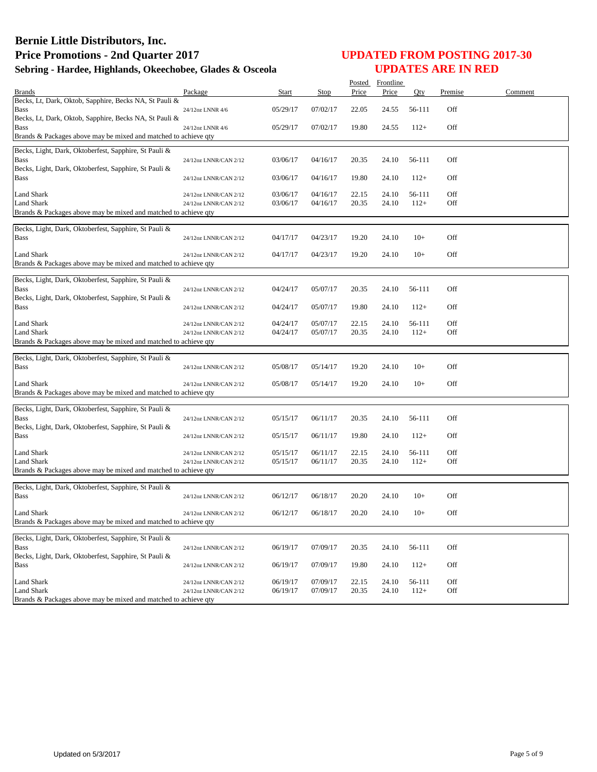|                                                                               |                       |                      |                      | Posted         | Frontline      |                  |            |         |
|-------------------------------------------------------------------------------|-----------------------|----------------------|----------------------|----------------|----------------|------------------|------------|---------|
| <b>Brands</b>                                                                 | Package               | Start                | Stop                 | Price          | Price          | Oty              | Premise    | Comment |
| Becks, Lt, Dark, Oktob, Sapphire, Becks NA, St Pauli &                        |                       |                      |                      |                |                |                  |            |         |
| Bass                                                                          | 24/12oz LNNR 4/6      | 05/29/17             | 07/02/17             | 22.05          | 24.55          | 56-111           | Off        |         |
| Becks, Lt, Dark, Oktob, Sapphire, Becks NA, St Pauli &<br><b>Bass</b>         | 24/12oz LNNR 4/6      | 05/29/17             | 07/02/17             | 19.80          | 24.55          | $112+$           | Off        |         |
| Brands & Packages above may be mixed and matched to achieve qty               |                       |                      |                      |                |                |                  |            |         |
|                                                                               |                       |                      |                      |                |                |                  |            |         |
| Becks, Light, Dark, Oktoberfest, Sapphire, St Pauli &                         |                       |                      |                      |                |                |                  |            |         |
| <b>Bass</b><br>Becks, Light, Dark, Oktoberfest, Sapphire, St Pauli &          | 24/12oz LNNR/CAN 2/12 | 03/06/17             | 04/16/17             | 20.35          | 24.10          | 56-111           | Off        |         |
| <b>Bass</b>                                                                   | 24/12oz LNNR/CAN 2/12 | 03/06/17             | 04/16/17             | 19.80          | 24.10          | $112+$           | Off        |         |
|                                                                               |                       |                      |                      |                |                |                  |            |         |
| Land Shark                                                                    | 24/12oz LNNR/CAN 2/12 | 03/06/17             | 04/16/17             | 22.15          | 24.10          | 56-111           | Off        |         |
| <b>Land Shark</b>                                                             | 24/12oz LNNR/CAN 2/12 | 03/06/17             | 04/16/17             | 20.35          | 24.10          | $112+$           | Off        |         |
| Brands & Packages above may be mixed and matched to achieve qty               |                       |                      |                      |                |                |                  |            |         |
| Becks, Light, Dark, Oktoberfest, Sapphire, St Pauli &                         |                       |                      |                      |                |                |                  |            |         |
| <b>Bass</b>                                                                   | 24/12oz LNNR/CAN 2/12 | 04/17/17             | 04/23/17             | 19.20          | 24.10          | $10+$            | Off        |         |
|                                                                               |                       |                      |                      |                |                |                  |            |         |
| <b>Land Shark</b>                                                             | 24/12oz LNNR/CAN 2/12 | 04/17/17             | 04/23/17             | 19.20          | 24.10          | $10+$            | Off        |         |
| Brands & Packages above may be mixed and matched to achieve qty               |                       |                      |                      |                |                |                  |            |         |
| Becks, Light, Dark, Oktoberfest, Sapphire, St Pauli &                         |                       |                      |                      |                |                |                  |            |         |
| <b>Bass</b>                                                                   | 24/12oz LNNR/CAN 2/12 | 04/24/17             | 05/07/17             | 20.35          | 24.10          | 56-111           | Off        |         |
| Becks, Light, Dark, Oktoberfest, Sapphire, St Pauli &                         |                       |                      |                      |                |                |                  |            |         |
| Bass                                                                          | 24/12oz LNNR/CAN 2/12 | 04/24/17             | 05/07/17             | 19.80          | 24.10          | $112+$           | Off        |         |
|                                                                               |                       |                      |                      |                |                |                  |            |         |
| Land Shark<br><b>Land Shark</b>                                               | 24/12oz LNNR/CAN 2/12 | 04/24/17<br>04/24/17 | 05/07/17<br>05/07/17 | 22.15<br>20.35 | 24.10<br>24.10 | 56-111<br>$112+$ | Off<br>Off |         |
| Brands & Packages above may be mixed and matched to achieve qty               | 24/12oz LNNR/CAN 2/12 |                      |                      |                |                |                  |            |         |
|                                                                               |                       |                      |                      |                |                |                  |            |         |
| Becks, Light, Dark, Oktoberfest, Sapphire, St Pauli &                         |                       |                      |                      |                |                |                  |            |         |
| Bass                                                                          | 24/12oz LNNR/CAN 2/12 | 05/08/17             | 05/14/17             | 19.20          | 24.10          | $10+$            | Off        |         |
| Land Shark                                                                    | 24/12oz LNNR/CAN 2/12 | 05/08/17             | 05/14/17             | 19.20          | 24.10          | $10+$            | Off        |         |
| Brands & Packages above may be mixed and matched to achieve qty               |                       |                      |                      |                |                |                  |            |         |
|                                                                               |                       |                      |                      |                |                |                  |            |         |
| Becks, Light, Dark, Oktoberfest, Sapphire, St Pauli &                         |                       |                      |                      |                |                |                  |            |         |
| <b>Bass</b>                                                                   | 24/12oz LNNR/CAN 2/12 | 05/15/17             | 06/11/17             | 20.35          | 24.10          | 56-111           | Off        |         |
| Becks, Light, Dark, Oktoberfest, Sapphire, St Pauli &                         |                       |                      |                      |                |                |                  |            |         |
| Bass                                                                          | 24/12oz LNNR/CAN 2/12 | 05/15/17             | 06/11/17             | 19.80          | 24.10          | $112+$           | Off        |         |
| Land Shark                                                                    | 24/12oz LNNR/CAN 2/12 | 05/15/17             | 06/11/17             | 22.15          | 24.10          | 56-111           | Off        |         |
| <b>Land Shark</b>                                                             | 24/12oz LNNR/CAN 2/12 | 05/15/17             | 06/11/17             | 20.35          | 24.10          | $112+$           | Off        |         |
| Brands & Packages above may be mixed and matched to achieve qty               |                       |                      |                      |                |                |                  |            |         |
|                                                                               |                       |                      |                      |                |                |                  |            |         |
| Becks, Light, Dark, Oktoberfest, Sapphire, St Pauli &<br><b>Bass</b>          | 24/12oz LNNR/CAN 2/12 | 06/12/17             | 06/18/17             | 20.20          | 24.10          | $10+$            | Off        |         |
|                                                                               |                       |                      |                      |                |                |                  |            |         |
| Land Shark                                                                    | 24/12oz LNNR/CAN 2/12 | 06/12/17             | 06/18/17             | 20.20          | 24.10          | $10+$            | Off        |         |
| Brands & Packages above may be mixed and matched to achieve qty               |                       |                      |                      |                |                |                  |            |         |
| Becks, Light, Dark, Oktoberfest, Sapphire, St Pauli &                         |                       |                      |                      |                |                |                  |            |         |
| Bass                                                                          | 24/12oz LNNR/CAN 2/12 | 06/19/17             | 07/09/17             | 20.35          | 24.10          | 56-111           | Off        |         |
| Becks, Light, Dark, Oktoberfest, Sapphire, St Pauli &                         |                       |                      |                      |                |                |                  |            |         |
| Bass                                                                          | 24/12oz LNNR/CAN 2/12 | 06/19/17             | 07/09/17             | 19.80          | 24.10          | $112+$           | Off        |         |
|                                                                               |                       |                      |                      |                |                |                  |            |         |
| Land Shark                                                                    | 24/12oz LNNR/CAN 2/12 | 06/19/17             | 07/09/17             | 22.15          | 24.10          | 56-111           | Off        |         |
| Land Shark<br>Brands & Packages above may be mixed and matched to achieve gty | 24/12oz LNNR/CAN 2/12 | 06/19/17             | 07/09/17             | 20.35          | 24.10          | $112+$           | Off        |         |
|                                                                               |                       |                      |                      |                |                |                  |            |         |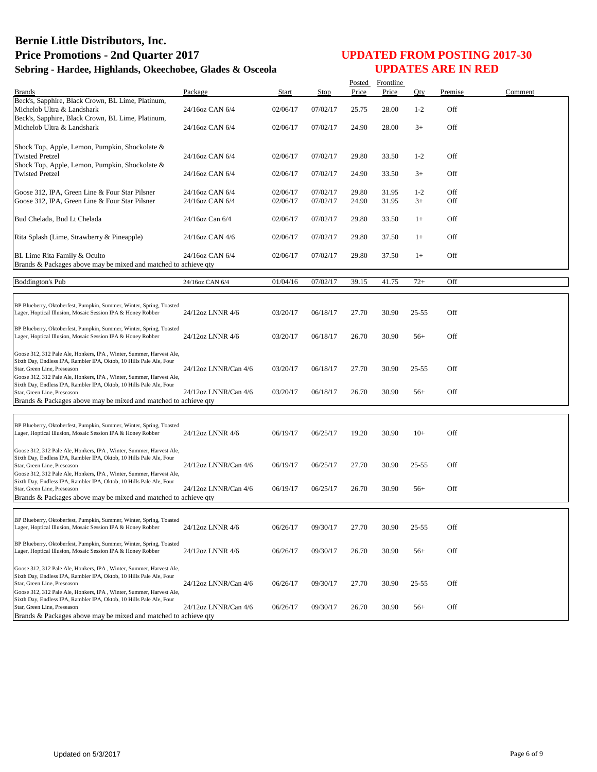|                                                                                                                                    |                      |              |          | Posted | Frontline |           |         |         |
|------------------------------------------------------------------------------------------------------------------------------------|----------------------|--------------|----------|--------|-----------|-----------|---------|---------|
| <b>Brands</b>                                                                                                                      | Package              | <b>Start</b> | Stop     | Price  | Price     | Qty       | Premise | Comment |
| Beck's, Sapphire, Black Crown, BL Lime, Platinum,                                                                                  |                      |              |          |        |           |           |         |         |
| Michelob Ultra & Landshark                                                                                                         | 24/16oz CAN 6/4      | 02/06/17     | 07/02/17 | 25.75  | 28.00     | $1 - 2$   | Off     |         |
| Beck's, Sapphire, Black Crown, BL Lime, Platinum,                                                                                  |                      |              |          |        |           |           |         |         |
| Michelob Ultra & Landshark                                                                                                         | 24/16oz CAN 6/4      | 02/06/17     | 07/02/17 | 24.90  | 28.00     | $3+$      | Off     |         |
|                                                                                                                                    |                      |              |          |        |           |           |         |         |
| Shock Top, Apple, Lemon, Pumpkin, Shockolate &                                                                                     |                      |              |          |        |           |           |         |         |
| <b>Twisted Pretzel</b>                                                                                                             | 24/16oz CAN 6/4      | 02/06/17     | 07/02/17 | 29.80  | 33.50     | $1 - 2$   | Off     |         |
| Shock Top, Apple, Lemon, Pumpkin, Shockolate &                                                                                     |                      |              |          |        |           |           |         |         |
| <b>Twisted Pretzel</b>                                                                                                             | 24/16oz CAN 6/4      | 02/06/17     | 07/02/17 | 24.90  | 33.50     | $3+$      | Off     |         |
|                                                                                                                                    |                      |              |          |        |           |           |         |         |
| Goose 312, IPA, Green Line & Four Star Pilsner                                                                                     | 24/16oz CAN 6/4      | 02/06/17     | 07/02/17 | 29.80  | 31.95     | $1 - 2$   | Off     |         |
| Goose 312, IPA, Green Line & Four Star Pilsner                                                                                     | 24/16oz CAN 6/4      | 02/06/17     | 07/02/17 | 24.90  | 31.95     | $3+$      | Off     |         |
|                                                                                                                                    |                      |              |          |        |           |           |         |         |
| Bud Chelada, Bud Lt Chelada                                                                                                        | 24/16oz Can 6/4      | 02/06/17     | 07/02/17 | 29.80  | 33.50     | $1+$      | Off     |         |
|                                                                                                                                    |                      |              |          |        |           |           |         |         |
| Rita Splash (Lime, Strawberry & Pineapple)                                                                                         | 24/16oz CAN 4/6      | 02/06/17     | 07/02/17 | 29.80  | 37.50     | $1+$      | Off     |         |
|                                                                                                                                    |                      |              |          |        |           |           |         |         |
| BL Lime Rita Family & Oculto                                                                                                       | 24/16oz CAN 6/4      | 02/06/17     | 07/02/17 | 29.80  | 37.50     | $1+$      | Off     |         |
| Brands & Packages above may be mixed and matched to achieve qty                                                                    |                      |              |          |        |           |           |         |         |
|                                                                                                                                    |                      |              |          |        |           |           |         |         |
| <b>Boddington's Pub</b>                                                                                                            | 24/16oz CAN 6/4      | 01/04/16     | 07/02/17 | 39.15  | 41.75     | $72+$     | Off     |         |
|                                                                                                                                    |                      |              |          |        |           |           |         |         |
|                                                                                                                                    |                      |              |          |        |           |           |         |         |
| BP Blueberry, Oktoberfest, Pumpkin, Summer, Winter, Spring, Toasted                                                                |                      |              |          |        |           |           |         |         |
| Lager, Hoptical Illusion, Mosaic Session IPA & Honey Robber                                                                        | 24/12oz LNNR 4/6     | 03/20/17     | 06/18/17 | 27.70  | 30.90     | $25 - 55$ | Off     |         |
|                                                                                                                                    |                      |              |          |        |           |           |         |         |
| BP Blueberry, Oktoberfest, Pumpkin, Summer, Winter, Spring, Toasted<br>Lager, Hoptical Illusion, Mosaic Session IPA & Honey Robber | 24/12oz LNNR 4/6     | 03/20/17     | 06/18/17 | 26.70  | 30.90     | $56+$     | Off     |         |
|                                                                                                                                    |                      |              |          |        |           |           |         |         |
| Goose 312, 312 Pale Ale, Honkers, IPA, Winter, Summer, Harvest Ale,                                                                |                      |              |          |        |           |           |         |         |
| Sixth Day, Endless IPA, Rambler IPA, Oktob, 10 Hills Pale Ale, Four                                                                |                      |              |          |        |           |           |         |         |
| Star, Green Line, Preseason                                                                                                        | 24/12oz LNNR/Can 4/6 | 03/20/17     | 06/18/17 | 27.70  | 30.90     | $25 - 55$ | Off     |         |
| Goose 312, 312 Pale Ale, Honkers, IPA, Winter, Summer, Harvest Ale,                                                                |                      |              |          |        |           |           |         |         |
| Sixth Day, Endless IPA, Rambler IPA, Oktob, 10 Hills Pale Ale, Four                                                                |                      |              |          |        |           |           |         |         |
| Star, Green Line, Preseason                                                                                                        | 24/12oz LNNR/Can 4/6 | 03/20/17     | 06/18/17 | 26.70  | 30.90     | $56+$     | Off     |         |
| Brands & Packages above may be mixed and matched to achieve qty                                                                    |                      |              |          |        |           |           |         |         |
|                                                                                                                                    |                      |              |          |        |           |           |         |         |
| BP Blueberry, Oktoberfest, Pumpkin, Summer, Winter, Spring, Toasted                                                                |                      |              |          |        |           |           |         |         |
| Lager, Hoptical Illusion, Mosaic Session IPA & Honey Robber                                                                        | 24/12oz LNNR 4/6     | 06/19/17     | 06/25/17 | 19.20  | 30.90     | $10+$     | Off     |         |
|                                                                                                                                    |                      |              |          |        |           |           |         |         |
| Goose 312, 312 Pale Ale, Honkers, IPA, Winter, Summer, Harvest Ale,                                                                |                      |              |          |        |           |           |         |         |
| Sixth Day, Endless IPA, Rambler IPA, Oktob, 10 Hills Pale Ale, Four                                                                |                      |              |          |        |           |           |         |         |
| Star, Green Line, Preseason                                                                                                        | 24/12oz LNNR/Can 4/6 | 06/19/17     | 06/25/17 | 27.70  | 30.90     | $25 - 55$ | Off     |         |
| Goose 312, 312 Pale Ale, Honkers, IPA, Winter, Summer, Harvest Ale,                                                                |                      |              |          |        |           |           |         |         |
| Sixth Day, Endless IPA, Rambler IPA, Oktob, 10 Hills Pale Ale, Four                                                                |                      |              |          |        |           |           |         |         |
| Star, Green Line, Preseason                                                                                                        | 24/12oz LNNR/Can 4/6 | 06/19/17     | 06/25/17 | 26.70  | 30.90     | $56+$     | Off     |         |
| Brands & Packages above may be mixed and matched to achieve qty                                                                    |                      |              |          |        |           |           |         |         |
|                                                                                                                                    |                      |              |          |        |           |           |         |         |
| BP Blueberry, Oktoberfest, Pumpkin, Summer, Winter, Spring, Toasted                                                                |                      |              |          |        |           |           |         |         |
| Lager, Hoptical Illusion, Mosaic Session IPA & Honey Robber                                                                        | 24/12oz LNNR 4/6     | 06/26/17     | 09/30/17 | 27.70  | 30.90     | $25 - 55$ | Off     |         |
|                                                                                                                                    |                      |              |          |        |           |           |         |         |
| BP Blueberry, Oktoberfest, Pumpkin, Summer, Winter, Spring, Toasted                                                                |                      |              |          |        |           |           |         |         |
| Lager, Hoptical Illusion, Mosaic Session IPA & Honey Robber                                                                        | 24/12oz LNNR 4/6     | 06/26/17     | 09/30/17 | 26.70  | 30.90     | $56+$     | Off     |         |
|                                                                                                                                    |                      |              |          |        |           |           |         |         |
| Goose 312, 312 Pale Ale, Honkers, IPA, Winter, Summer, Harvest Ale,                                                                |                      |              |          |        |           |           |         |         |
| Sixth Day, Endless IPA, Rambler IPA, Oktob, 10 Hills Pale Ale, Four<br>Star, Green Line, Preseason                                 | 24/12oz LNNR/Can 4/6 | 06/26/17     | 09/30/17 | 27.70  | 30.90     | $25 - 55$ | Off     |         |
| Goose 312, 312 Pale Ale, Honkers, IPA, Winter, Summer, Harvest Ale,                                                                |                      |              |          |        |           |           |         |         |
| Sixth Day, Endless IPA, Rambler IPA, Oktob, 10 Hills Pale Ale, Four                                                                |                      |              |          |        |           |           |         |         |
| Star, Green Line, Preseason                                                                                                        | 24/12oz LNNR/Can 4/6 | 06/26/17     | 09/30/17 | 26.70  | 30.90     | $56+$     | Off     |         |
| Brands & Packages above may be mixed and matched to achieve qty                                                                    |                      |              |          |        |           |           |         |         |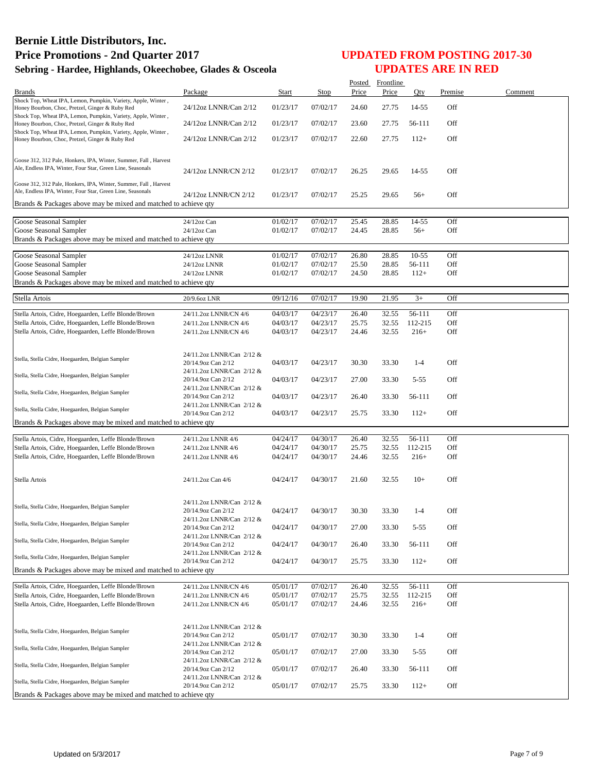|                                                                                                                                |                                                 |                      |                      | Posted         | Frontline      |                  |            |         |
|--------------------------------------------------------------------------------------------------------------------------------|-------------------------------------------------|----------------------|----------------------|----------------|----------------|------------------|------------|---------|
| <b>Brands</b>                                                                                                                  | Package                                         | <b>Start</b>         | Stop                 | Price          | Price          | Qty              | Premise    | Comment |
| Shock Top, Wheat IPA, Lemon, Pumpkin, Variety, Apple, Winter,<br>Honey Bourbon, Choc, Pretzel, Ginger & Ruby Red               | 24/12oz LNNR/Can 2/12                           | 01/23/17             | 07/02/17             | 24.60          | 27.75          | 14-55            | Off        |         |
| Shock Top, Wheat IPA, Lemon, Pumpkin, Variety, Apple, Winter,<br>Honey Bourbon, Choc, Pretzel, Ginger & Ruby Red               | 24/12oz LNNR/Can 2/12                           | 01/23/17             | 07/02/17             | 23.60          | 27.75          | 56-111           | Off        |         |
| Shock Top, Wheat IPA, Lemon, Pumpkin, Variety, Apple, Winter,<br>Honey Bourbon, Choc, Pretzel, Ginger & Ruby Red               | 24/12oz LNNR/Can 2/12                           | 01/23/17             | 07/02/17             | 22.60          | 27.75          | $112+$           | Off        |         |
|                                                                                                                                |                                                 |                      |                      |                |                |                  |            |         |
| Goose 312, 312 Pale, Honkers, IPA, Winter, Summer, Fall, Harvest                                                               |                                                 |                      |                      |                |                |                  |            |         |
| Ale, Endless IPA, Winter, Four Star, Green Line, Seasonals                                                                     | 24/12oz LNNR/CN 2/12                            | 01/23/17             | 07/02/17             | 26.25          | 29.65          | 14-55            | Off        |         |
| Goose 312, 312 Pale, Honkers, IPA, Winter, Summer, Fall, Harvest<br>Ale, Endless IPA, Winter, Four Star, Green Line, Seasonals | 24/12oz LNNR/CN 2/12                            |                      | 07/02/17             |                |                |                  | Off        |         |
| Brands & Packages above may be mixed and matched to achieve qty                                                                |                                                 | 01/23/17             |                      | 25.25          | 29.65          | $56+$            |            |         |
|                                                                                                                                |                                                 |                      | 07/02/17             |                |                |                  | Off        |         |
| Goose Seasonal Sampler<br>Goose Seasonal Sampler                                                                               | 24/12oz Can<br>24/12oz Can                      | 01/02/17<br>01/02/17 | 07/02/17             | 25.45<br>24.45 | 28.85<br>28.85 | 14-55<br>$56+$   | Off        |         |
| Brands & Packages above may be mixed and matched to achieve qty                                                                |                                                 |                      |                      |                |                |                  |            |         |
|                                                                                                                                |                                                 |                      |                      |                |                |                  |            |         |
| Goose Seasonal Sampler                                                                                                         | 24/12oz LNNR                                    | 01/02/17             | 07/02/17             | 26.80          | 28.85          | $10 - 55$        | Off        |         |
| Goose Seasonal Sampler<br>Goose Seasonal Sampler                                                                               | 24/12oz LNNR<br>24/12oz LNNR                    | 01/02/17<br>01/02/17 | 07/02/17<br>07/02/17 | 25.50<br>24.50 | 28.85<br>28.85 | 56-111<br>$112+$ | Off<br>Off |         |
| Brands & Packages above may be mixed and matched to achieve gty                                                                |                                                 |                      |                      |                |                |                  |            |         |
|                                                                                                                                |                                                 |                      |                      |                |                |                  |            |         |
| Stella Artois                                                                                                                  | 20/9.6oz LNR                                    | 09/12/16             | 07/02/17             | 19.90          | 21.95          | $3+$             | Off        |         |
| Stella Artois, Cidre, Hoegaarden, Leffe Blonde/Brown                                                                           | 24/11.2oz LNNR/CN 4/6                           | 04/03/17             | 04/23/17             | 26.40          | 32.55          | 56-111           | Off        |         |
| Stella Artois, Cidre, Hoegaarden, Leffe Blonde/Brown                                                                           | 24/11.2oz LNNR/CN 4/6                           | 04/03/17             | 04/23/17             | 25.75          | 32.55          | 112-215          | Off        |         |
| Stella Artois, Cidre, Hoegaarden, Leffe Blonde/Brown                                                                           | 24/11.2oz LNNR/CN 4/6                           | 04/03/17             | 04/23/17             | 24.46          | 32.55          | $216+$           | Off        |         |
|                                                                                                                                |                                                 |                      |                      |                |                |                  |            |         |
|                                                                                                                                | 24/11.2oz LNNR/Can 2/12 &                       |                      |                      |                |                |                  |            |         |
| Stella, Stella Cidre, Hoegaarden, Belgian Sampler                                                                              | 20/14.9oz Can 2/12                              | 04/03/17             | 04/23/17             | 30.30          | 33.30          | $1 - 4$          | Off        |         |
| Stella, Stella Cidre, Hoegaarden, Belgian Sampler                                                                              | 24/11.2oz LNNR/Can 2/12 &                       |                      |                      |                |                |                  |            |         |
|                                                                                                                                | 20/14.9oz Can 2/12<br>24/11.2oz LNNR/Can 2/12 & | 04/03/17             | 04/23/17             | 27.00          | 33.30          | $5 - 55$         | Off        |         |
| Stella, Stella Cidre, Hoegaarden, Belgian Sampler                                                                              | 20/14.9oz Can 2/12                              | 04/03/17             | 04/23/17             | 26.40          | 33.30          | 56-111           | Off        |         |
|                                                                                                                                | 24/11.2oz LNNR/Can 2/12 &                       |                      |                      |                |                |                  |            |         |
| Stella, Stella Cidre, Hoegaarden, Belgian Sampler                                                                              | 20/14.9oz Can 2/12                              | 04/03/17             | 04/23/17             | 25.75          | 33.30          | $112+$           | Off        |         |
| Brands & Packages above may be mixed and matched to achieve qty                                                                |                                                 |                      |                      |                |                |                  |            |         |
|                                                                                                                                |                                                 | 04/24/17             | 04/30/17             | 26.40          | 32.55          | 56-111           | Off        |         |
| Stella Artois, Cidre, Hoegaarden, Leffe Blonde/Brown<br>Stella Artois, Cidre, Hoegaarden, Leffe Blonde/Brown                   | 24/11.2oz LNNR 4/6<br>24/11.2oz LNNR 4/6        | 04/24/17             | 04/30/17             | 25.75          | 32.55          | 112-215          | Off        |         |
| Stella Artois, Cidre, Hoegaarden, Leffe Blonde/Brown                                                                           | 24/11.2oz LNNR 4/6                              | 04/24/17             | 04/30/17             | 24.46          | 32.55          | $216+$           | Off        |         |
|                                                                                                                                |                                                 |                      |                      |                |                |                  |            |         |
|                                                                                                                                |                                                 | 04/24/17             |                      |                |                |                  |            |         |
| Stella Artois                                                                                                                  | 24/11.2oz Can 4/6                               |                      | 04/30/17             | 21.60          | 32.55          | $10+$            | Off        |         |
|                                                                                                                                |                                                 |                      |                      |                |                |                  |            |         |
| Stella, Stella Cidre, Hoegaarden, Belgian Sampler                                                                              | 24/11.2oz LNNR/Can 2/12 &                       |                      |                      |                |                |                  |            |         |
|                                                                                                                                | 20/14.9oz Can 2/12<br>24/11.2oz LNNR/Can 2/12 & | 04/24/17             | 04/30/17             | 30.30          | 33.30          | $1 - 4$          | Off        |         |
| Stella, Stella Cidre, Hoegaarden, Belgian Sampler                                                                              | 20/14.9oz Can 2/12                              | 04/24/17             | 04/30/17             | 27.00          | 33.30          | $5 - 55$         | Off        |         |
|                                                                                                                                | 24/11.2oz LNNR/Can 2/12 &                       |                      |                      |                |                |                  |            |         |
| Stella, Stella Cidre, Hoegaarden, Belgian Sampler                                                                              | 20/14.9oz Can 2/12                              | 04/24/17             | 04/30/17             | 26.40          | 33.30          | 56-111           | Off        |         |
| Stella, Stella Cidre, Hoegaarden, Belgian Sampler                                                                              | 24/11.2oz LNNR/Can 2/12 &                       |                      |                      |                |                |                  |            |         |
|                                                                                                                                | 20/14.9oz Can 2/12                              | 04/24/17             | 04/30/17             | 25.75          | 33.30          | $112+$           | Off        |         |
| Brands & Packages above may be mixed and matched to achieve qty                                                                |                                                 |                      |                      |                |                |                  |            |         |
| Stella Artois, Cidre, Hoegaarden, Leffe Blonde/Brown                                                                           | 24/11.2oz LNNR/CN 4/6                           | 05/01/17             | 07/02/17             | 26.40          | 32.55          | 56-111           | Off        |         |
| Stella Artois, Cidre, Hoegaarden, Leffe Blonde/Brown                                                                           | 24/11.2oz LNNR/CN 4/6                           | 05/01/17             | 07/02/17             | 25.75          | 32.55          | 112-215          | Off        |         |
| Stella Artois, Cidre, Hoegaarden, Leffe Blonde/Brown                                                                           | 24/11.2oz LNNR/CN 4/6                           | 05/01/17             | 07/02/17             | 24.46          | 32.55          | $216+$           | Off        |         |
|                                                                                                                                |                                                 |                      |                      |                |                |                  |            |         |
|                                                                                                                                | 24/11.2oz LNNR/Can 2/12 &                       |                      |                      |                |                |                  |            |         |
| Stella, Stella Cidre, Hoegaarden, Belgian Sampler                                                                              | 20/14.9oz Can 2/12                              | 05/01/17             | 07/02/17             | 30.30          | 33.30          | $1 - 4$          | Off        |         |
| Stella, Stella Cidre, Hoegaarden, Belgian Sampler                                                                              | 24/11.2oz LNNR/Can 2/12 &                       |                      |                      |                |                |                  |            |         |
|                                                                                                                                | 20/14.9oz Can 2/12                              | 05/01/17             | 07/02/17             | 27.00          | 33.30          | $5 - 55$         | Off        |         |
| Stella, Stella Cidre, Hoegaarden, Belgian Sampler                                                                              | 24/11.2oz LNNR/Can 2/12 &<br>20/14.9oz Can 2/12 | 05/01/17             | 07/02/17             | 26.40          | 33.30          | 56-111           | Off        |         |
|                                                                                                                                | 24/11.2oz LNNR/Can 2/12 &                       |                      |                      |                |                |                  |            |         |
| Stella, Stella Cidre, Hoegaarden, Belgian Sampler                                                                              | 20/14.9oz Can 2/12                              | 05/01/17             | 07/02/17             | 25.75          | 33.30          | $112+$           | Off        |         |
| Brands & Packages above may be mixed and matched to achieve qty                                                                |                                                 |                      |                      |                |                |                  |            |         |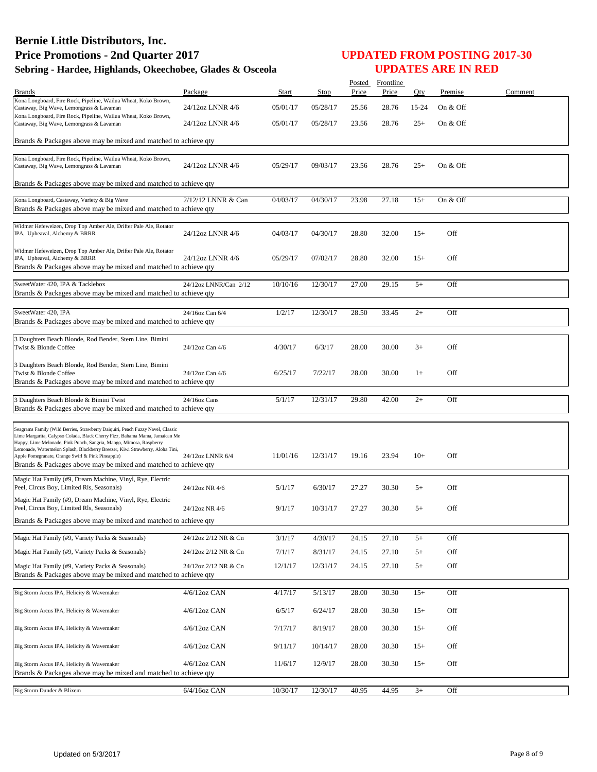| <b>Brands</b>                                                                                                                                                 | Package               | Start    | Stop     | Posted<br>Price | Frontline<br>Price | Qty   | Premise    | Comment |
|---------------------------------------------------------------------------------------------------------------------------------------------------------------|-----------------------|----------|----------|-----------------|--------------------|-------|------------|---------|
| Kona Longboard, Fire Rock, Pipeline, Wailua Wheat, Koko Brown,                                                                                                |                       |          |          |                 |                    |       |            |         |
| Castaway, Big Wave, Lemongrass & Lavaman                                                                                                                      | 24/12oz LNNR 4/6      | 05/01/17 | 05/28/17 | 25.56           | 28.76              | 15-24 | On & Off   |         |
| Kona Longboard, Fire Rock, Pipeline, Wailua Wheat, Koko Brown,<br>Castaway, Big Wave, Lemongrass & Lavaman                                                    | 24/12oz LNNR 4/6      | 05/01/17 | 05/28/17 | 23.56           | 28.76              | $25+$ | On $&$ Off |         |
| Brands & Packages above may be mixed and matched to achieve qty                                                                                               |                       |          |          |                 |                    |       |            |         |
| Kona Longboard, Fire Rock, Pipeline, Wailua Wheat, Koko Brown,                                                                                                |                       |          |          |                 |                    |       |            |         |
| Castaway, Big Wave, Lemongrass & Lavaman                                                                                                                      | 24/12oz LNNR 4/6      | 05/29/17 | 09/03/17 | 23.56           | 28.76              | $25+$ | On & Off   |         |
| Brands & Packages above may be mixed and matched to achieve qty                                                                                               |                       |          |          |                 |                    |       |            |         |
| Kona Longboard, Castaway, Variety & Big Wave                                                                                                                  | 2/12/12 LNNR & Can    | 04/03/17 | 04/30/17 | 23.98           | 27.18              | $15+$ | On & Off   |         |
| Brands & Packages above may be mixed and matched to achieve qty                                                                                               |                       |          |          |                 |                    |       |            |         |
| Widmer Hefeweizen, Drop Top Amber Ale, Drifter Pale Ale, Rotator                                                                                              |                       |          |          |                 |                    |       |            |         |
| IPA, Upheaval, Alchemy & BRRR                                                                                                                                 | 24/12oz LNNR 4/6      | 04/03/17 | 04/30/17 | 28.80           | 32.00              | $15+$ | Off        |         |
| Widmer Hefeweizen, Drop Top Amber Ale, Drifter Pale Ale, Rotator                                                                                              |                       |          |          |                 |                    |       |            |         |
| IPA, Upheaval, Alchemy & BRRR                                                                                                                                 | 24/12oz LNNR 4/6      | 05/29/17 | 07/02/17 | 28.80           | 32.00              | $15+$ | Off        |         |
| Brands & Packages above may be mixed and matched to achieve qty                                                                                               |                       |          |          |                 |                    |       |            |         |
| SweetWater 420, IPA & Tacklebox                                                                                                                               | 24/12oz LNNR/Can 2/12 | 10/10/16 | 12/30/17 | 27.00           | 29.15              | $5+$  | Off        |         |
| Brands & Packages above may be mixed and matched to achieve qty                                                                                               |                       |          |          |                 |                    |       |            |         |
| SweetWater 420, IPA                                                                                                                                           | 24/16oz Can 6/4       | 1/2/17   | 12/30/17 | 28.50           | 33.45              | $2+$  | Off        |         |
| Brands & Packages above may be mixed and matched to achieve qty                                                                                               |                       |          |          |                 |                    |       |            |         |
|                                                                                                                                                               |                       |          |          |                 |                    |       |            |         |
| 3 Daughters Beach Blonde, Rod Bender, Stern Line, Bimini<br>Twist & Blonde Coffee                                                                             | 24/12oz Can 4/6       | 4/30/17  | 6/3/17   | 28.00           | 30.00              | $3+$  | Off        |         |
|                                                                                                                                                               |                       |          |          |                 |                    |       |            |         |
| 3 Daughters Beach Blonde, Rod Bender, Stern Line, Bimini                                                                                                      |                       |          |          |                 |                    |       |            |         |
| Twist & Blonde Coffee                                                                                                                                         | 24/12oz Can 4/6       | 6/25/17  | 7/22/17  | 28.00           | 30.00              | $1+$  | Off        |         |
| Brands & Packages above may be mixed and matched to achieve qty                                                                                               |                       |          |          |                 |                    |       |            |         |
| 3 Daughters Beach Blonde & Bimini Twist                                                                                                                       | 24/16oz Cans          | 5/1/17   | 12/31/17 | 29.80           | 42.00              | $2+$  | Off        |         |
| Brands & Packages above may be mixed and matched to achieve qty                                                                                               |                       |          |          |                 |                    |       |            |         |
|                                                                                                                                                               |                       |          |          |                 |                    |       |            |         |
| Seagrams Family (Wild Berries, Strawberry Daiquiri, Peach Fuzzy Navel, Classic<br>Lime Margarita, Calypso Colada, Black Cherry Fizz, Bahama Mama, Jamaican Me |                       |          |          |                 |                    |       |            |         |
| Happy, Lime Melonade, Pink Punch, Sangria, Mango, Mimosa, Raspberry<br>Lemonade, Watermelon Splash, Blackberry Breezer, Kiwi Strawberry, Aloha Tini,          |                       |          |          |                 |                    |       |            |         |
| Apple Pomegranate, Orange Swirl & Pink Pineapple)                                                                                                             | 24/12oz LNNR 6/4      | 11/01/16 | 12/31/17 | 19.16           | 23.94              | $10+$ | Off        |         |
| Brands & Packages above may be mixed and matched to achieve qty                                                                                               |                       |          |          |                 |                    |       |            |         |
| Magic Hat Family (#9, Dream Machine, Vinyl, Rye, Electric                                                                                                     |                       |          |          |                 |                    |       |            |         |
| Peel, Circus Boy, Limited Rls, Seasonals)                                                                                                                     | 24/12oz NR 4/6        | 5/1/17   | 6/30/17  | 27.27           | 30.30              | $5+$  | Off        |         |
| Magic Hat Family (#9, Dream Machine, Vinyl, Rye, Electric                                                                                                     |                       |          |          |                 |                    |       |            |         |
| Peel, Circus Boy, Limited Rls, Seasonals)                                                                                                                     | 24/12oz NR 4/6        | 9/1/17   | 10/31/17 | 27.27           | 30.30              | $5+$  | Off        |         |
| Brands & Packages above may be mixed and matched to achieve qty                                                                                               |                       |          |          |                 |                    |       |            |         |
| Magic Hat Family (#9, Variety Packs & Seasonals)                                                                                                              | 24/12oz 2/12 NR & Cn  | 3/1/17   | 4/30/17  | 24.15           | 27.10              | $5+$  | Off        |         |
| Magic Hat Family (#9, Variety Packs & Seasonals)                                                                                                              | 24/12oz 2/12 NR & Cn  | 7/1/17   | 8/31/17  | 24.15           | 27.10              | $5+$  | Off        |         |
|                                                                                                                                                               |                       |          |          |                 |                    |       |            |         |
| Magic Hat Family (#9, Variety Packs & Seasonals)<br>Brands & Packages above may be mixed and matched to achieve qty                                           | 24/12oz 2/12 NR & Cn  | 12/1/17  | 12/31/17 | 24.15           | 27.10              | $5+$  | Off        |         |
|                                                                                                                                                               |                       |          |          |                 |                    |       |            |         |
| Big Storm Arcus IPA, Helicity & Wavemaker                                                                                                                     | 4/6/12oz CAN          | 4/17/17  | 5/13/17  | 28.00           | 30.30              | $15+$ | Off        |         |
| Big Storm Arcus IPA, Helicity & Wavemaker                                                                                                                     | 4/6/12oz CAN          | 6/5/17   | 6/24/17  | 28.00           | 30.30              | $15+$ | Off        |         |
| Big Storm Arcus IPA, Helicity & Wavemaker                                                                                                                     | 4/6/12oz CAN          | 7/17/17  | 8/19/17  | 28.00           | 30.30              | $15+$ | Off        |         |
|                                                                                                                                                               |                       |          |          |                 |                    |       |            |         |
| Big Storm Arcus IPA, Helicity & Wavemaker                                                                                                                     | 4/6/12oz CAN          | 9/11/17  | 10/14/17 | 28.00           | 30.30              | $15+$ | Off        |         |
| Big Storm Arcus IPA, Helicity & Wavemaker                                                                                                                     | 4/6/12oz CAN          | 11/6/17  | 12/9/17  | 28.00           | 30.30              | $15+$ | Off        |         |
| Brands & Packages above may be mixed and matched to achieve qty                                                                                               |                       |          |          |                 |                    |       |            |         |
| Big Storm Dunder & Blixem                                                                                                                                     | $6/4/16$ oz CAN       | 10/30/17 | 12/30/17 | 40.95           | 44.95              | $3+$  | Off        |         |
|                                                                                                                                                               |                       |          |          |                 |                    |       |            |         |